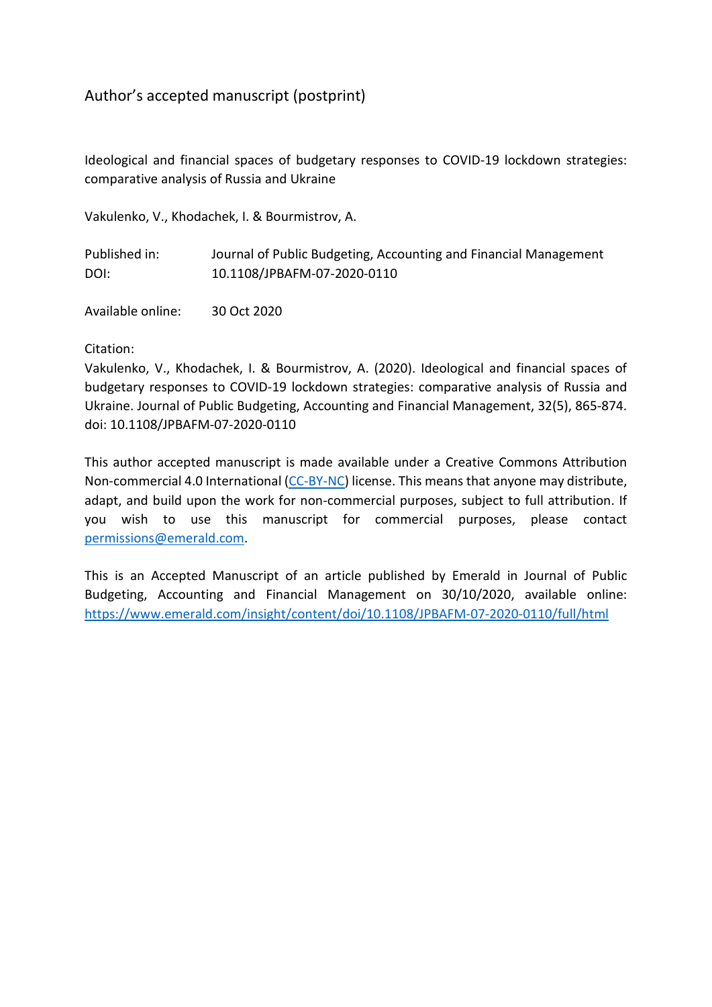# Author's accepted manuscript (postprint)

Ideological and financial spaces of budgetary responses to COVID-19 lockdown strategies: comparative analysis of Russia and Ukraine

Vakulenko, V., Khodachek, I. & Bourmistrov, A.

| Published in: | Journal of Public Budgeting, Accounting and Financial Management |
|---------------|------------------------------------------------------------------|
| DOI:          | 10.1108/JPBAFM-07-2020-0110                                      |

Available online: 30 Oct 2020

## Citation:

Vakulenko, V., Khodachek, I. & Bourmistrov, A. (2020). Ideological and financial spaces of budgetary responses to COVID-19 lockdown strategies: comparative analysis of Russia and Ukraine. Journal of Public Budgeting, Accounting and Financial Management, 32(5), 865-874. doi: 10.1108/JPBAFM-07-2020-0110

This author accepted manuscript is made available under a Creative Commons Attribution Non-commercial 4.0 International [\(CC-BY-NC\)](http://creativecommons.org/licenses/by-nc/4.0) license. This means that anyone may distribute, adapt, and build upon the work for non-commercial purposes, subject to full attribution. If you wish to use this manuscript for commercial purposes, please contact [permissions@emerald.com.](mailto:permissions@emerald.com)

This is an Accepted Manuscript of an article published by Emerald in Journal of Public Budgeting, Accounting and Financial Management on 30/10/2020, available online: <https://www.emerald.com/insight/content/doi/10.1108/JPBAFM-07-2020-0110/full/html>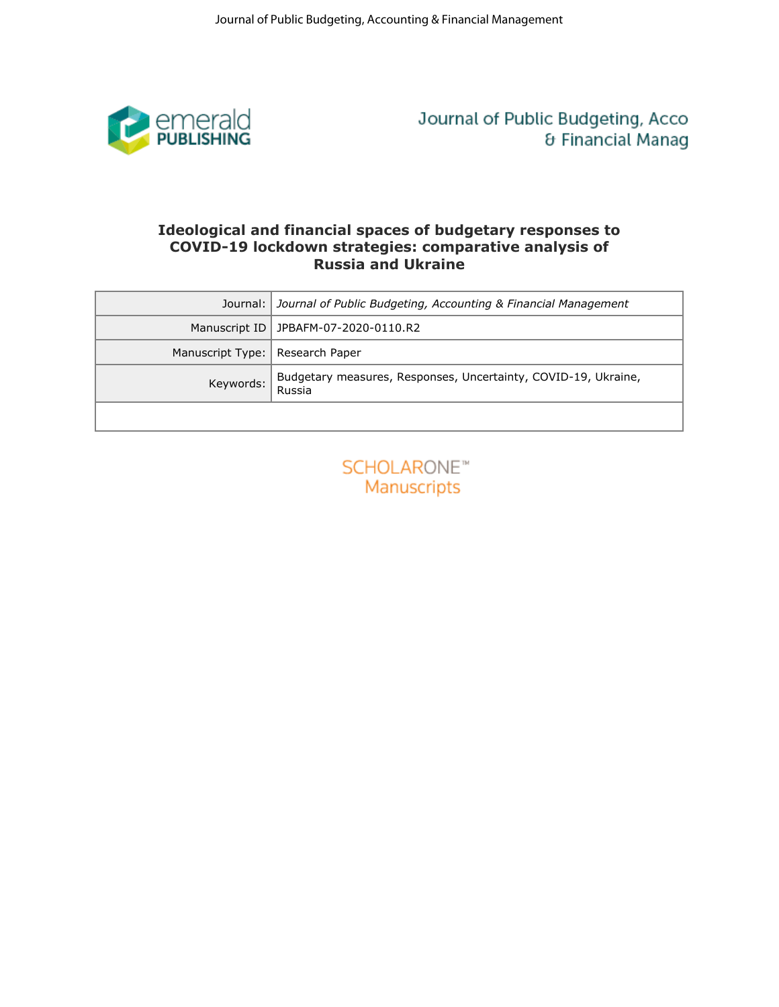

# **COVID-19 lockdown strategies: comparative analysis of Russia and Ukraine**

| emerald<br>PUBLISHING<br>Journal of Public Budgeting, Acco<br>& Financial Manag<br>Ideological and financial spaces of budgetary responses to<br>COVID-19 lockdown strategies: comparative analysis of<br><b>Russia and Ukraine</b><br>Journal of Public Budgeting, Accounting & Financial Management<br>Journal:<br>JPBAFM-07-2020-0110.R2<br>Manuscript ID<br>Manuscript Type:   Research Paper<br>Budgetary measures, Responses, Uncertainty, COVID-19, Ukraine,<br>Keywords:<br>Russia<br><b>SCHOLARONE™</b><br>Manuscripts | Journal of Public Budgeting, Accounting & Financial Management |
|---------------------------------------------------------------------------------------------------------------------------------------------------------------------------------------------------------------------------------------------------------------------------------------------------------------------------------------------------------------------------------------------------------------------------------------------------------------------------------------------------------------------------------|----------------------------------------------------------------|
|                                                                                                                                                                                                                                                                                                                                                                                                                                                                                                                                 |                                                                |
|                                                                                                                                                                                                                                                                                                                                                                                                                                                                                                                                 |                                                                |
|                                                                                                                                                                                                                                                                                                                                                                                                                                                                                                                                 |                                                                |
|                                                                                                                                                                                                                                                                                                                                                                                                                                                                                                                                 |                                                                |
|                                                                                                                                                                                                                                                                                                                                                                                                                                                                                                                                 |                                                                |
|                                                                                                                                                                                                                                                                                                                                                                                                                                                                                                                                 |                                                                |
|                                                                                                                                                                                                                                                                                                                                                                                                                                                                                                                                 |                                                                |

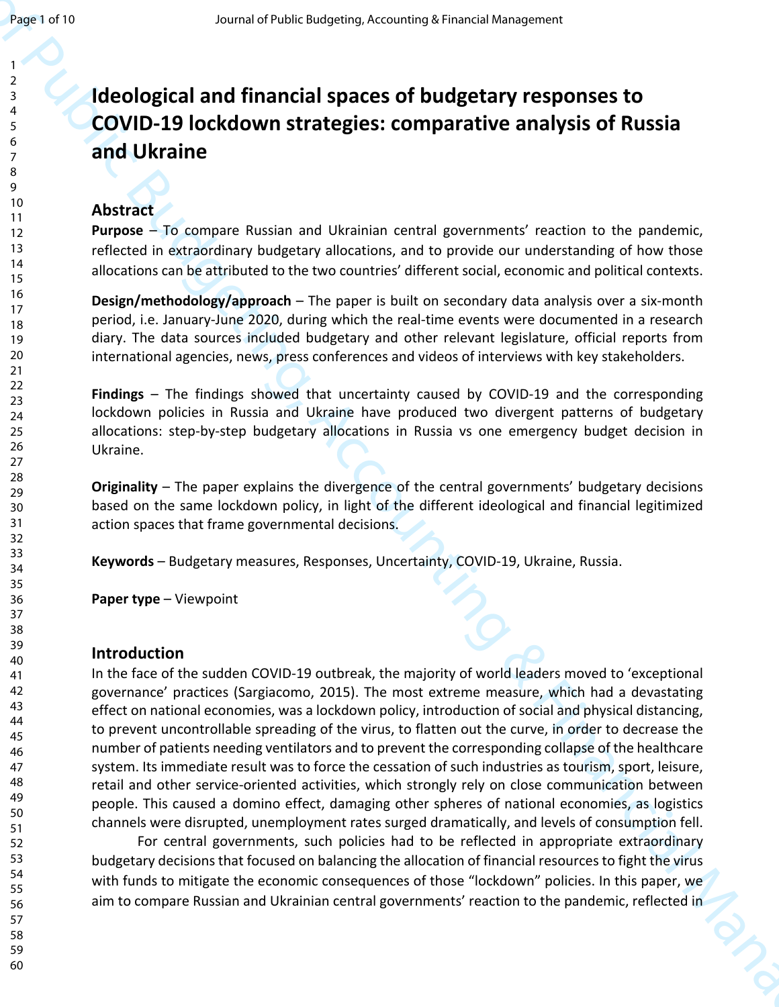# **Ideological and financial spaces of budgetary responses to COVID-19 lockdown strategies: comparative analysis of Russia and Ukraine**

# **Abstract**

**Purpose** – To compare Russian and Ukrainian central governments' reaction to the pandemic, reflected in extraordinary budgetary allocations, and to provide our understanding of how those allocations can be attributed to the two countries' different social, economic and political contexts.

**Design/methodology/approach** – The paper is built on secondary data analysis over a six-month period, i.e. January-June 2020, during which the real-time events were documented in a research diary. The data sources included budgetary and other relevant legislature, official reports from international agencies, news, press conferences and videos of interviews with key stakeholders.

**Findings** – The findings showed that uncertainty caused by COVID-19 and the corresponding lockdown policies in Russia and Ukraine have produced two divergent patterns of budgetary allocations: step-by-step budgetary allocations in Russia vs one emergency budget decision in Ukraine.

**Originality** – The paper explains the divergence of the central governments' budgetary decisions based on the same lockdown policy, in light of the different ideological and financial legitimized action spaces that frame governmental decisions.

**Keywords** – Budgetary measures, Responses, Uncertainty, COVID-19, Ukraine, Russia.

**Paper type** – Viewpoint

# **Introduction**

Journal of Financial Spaces of budgeting temperature and yesterday in the space of Rud Business Corollar Control in the space of Rud Business Corollar Control in the space of Rud Ural in the Control of the Control in the In the face of the sudden COVID-19 outbreak, the majority of world leaders moved to 'exceptional governance' practices (Sargiacomo, 2015). The most extreme measure, which had a devastating effect on national economies, was a lockdown policy, introduction of social and physical distancing, to prevent uncontrollable spreading of the virus, to flatten out the curve, in order to decrease the number of patients needing ventilators and to prevent the corresponding collapse of the healthcare system. Its immediate result was to force the cessation of such industries as tourism, sport, leisure, retail and other service-oriented activities, which strongly rely on close communication between people. This caused a domino effect, damaging other spheres of national economies, as logistics channels were disrupted, unemployment rates surged dramatically, and levels of consumption fell.

For central governments, such policies had to be reflected in appropriate extraordinary budgetary decisions that focused on balancing the allocation of financial resources to fight the virus with funds to mitigate the economic consequences of those "lockdown" policies. In this paper, we aim to compare Russian and Ukrainian central governments' reaction to the pandemic, reflected in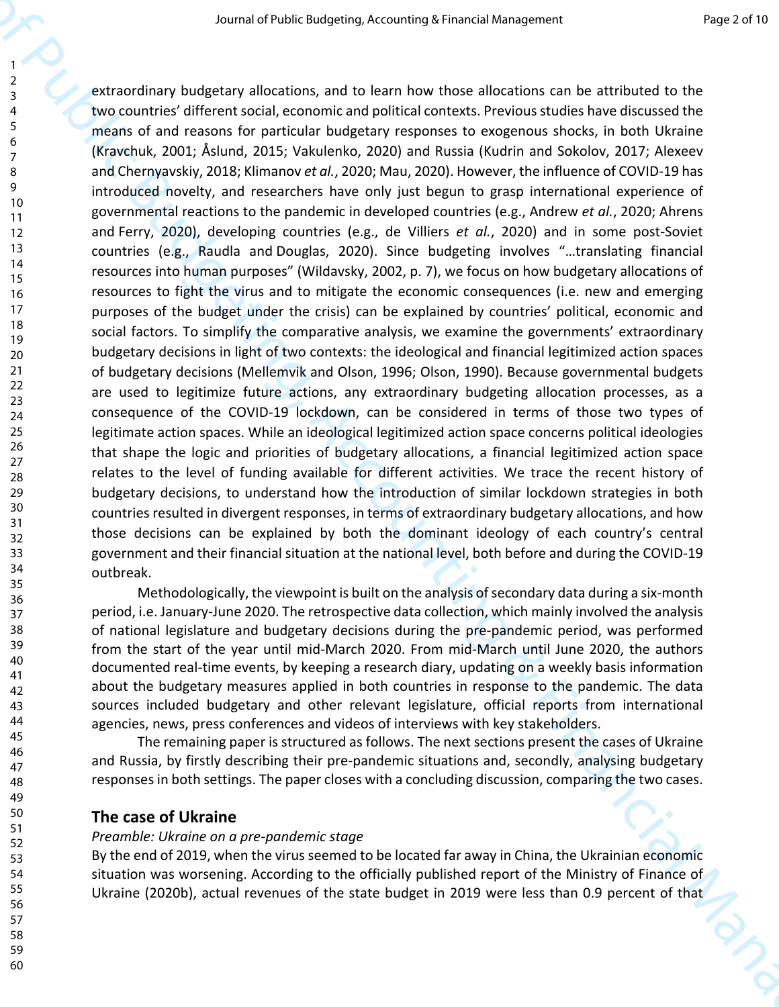Seamal of Public Business of Paya Bossines & Franchisk Streepers.<br>
The contributed by the system of a strengthene unit of the system of the financial Management of the financial Management Contributed by the system of a s extraordinary budgetary allocations, and to learn how those allocations can be attributed to the two countries' different social, economic and political contexts. Previous studies have discussed the means of and reasons for particular budgetary responses to exogenous shocks, in both Ukraine (Kravchuk, 2001; Åslund, 2015; Vakulenko, 2020) and Russia (Kudrin and Sokolov, 2017; Alexeev and Chernyavskiy, 2018; Klimanov *et al.*, 2020; Mau, 2020). However, the influence of COVID-19 has introduced novelty, and researchers have only just begun to grasp international experience of governmental reactions to the pandemic in developed countries (e.g., Andrew *et al.*, 2020; Ahrens and Ferry, 2020), developing countries (e.g., de Villiers *et al.*, 2020) and in some post-Soviet countries (e.g., Raudla and Douglas, 2020). Since budgeting involves "…translating financial resources into human purposes" (Wildavsky, 2002, p. 7), we focus on how budgetary allocations of resources to fight the virus and to mitigate the economic consequences (i.e. new and emerging purposes of the budget under the crisis) can be explained by countries' political, economic and social factors. To simplify the comparative analysis, we examine the governments' extraordinary budgetary decisions in light of two contexts: the ideological and financial legitimized action spaces of budgetary decisions (Mellemvik and Olson, 1996; Olson, 1990). Because governmental budgets are used to legitimize future actions, any extraordinary budgeting allocation processes, as a consequence of the COVID-19 lockdown, can be considered in terms of those two types of legitimate action spaces. While an ideological legitimized action space concerns political ideologies that shape the logic and priorities of budgetary allocations, a financial legitimized action space relates to the level of funding available for different activities. We trace the recent history of budgetary decisions, to understand how the introduction of similar lockdown strategies in both countries resulted in divergent responses, in terms of extraordinary budgetary allocations, and how those decisions can be explained by both the dominant ideology of each country's central government and their financial situation at the national level, both before and during the COVID-19 outbreak.

Methodologically, the viewpoint is built on the analysis of secondary data during a six-month period, i.e. January-June 2020. The retrospective data collection, which mainly involved the analysis of national legislature and budgetary decisions during the pre-pandemic period, was performed from the start of the year until mid-March 2020. From mid-March until June 2020, the authors documented real-time events, by keeping a research diary, updating on a weekly basis information about the budgetary measures applied in both countries in response to the pandemic. The data sources included budgetary and other relevant legislature, official reports from international agencies, news, press conferences and videos of interviews with key stakeholders.

The remaining paper is structured as follows. The next sections present the cases of Ukraine and Russia, by firstly describing their pre-pandemic situations and, secondly, analysing budgetary responses in both settings. The paper closes with a concluding discussion, comparing the two cases.

## **The case of Ukraine**

#### *Preamble: Ukraine on a pre-pandemic stage*

By the end of 2019, when the virus seemed to be located far away in China, the Ukrainian economic situation was worsening. According to the officially published report of the Ministry of Finance of Ukraine (2020b), actual revenues of the state budget in 2019 were less than 0.9 percent of that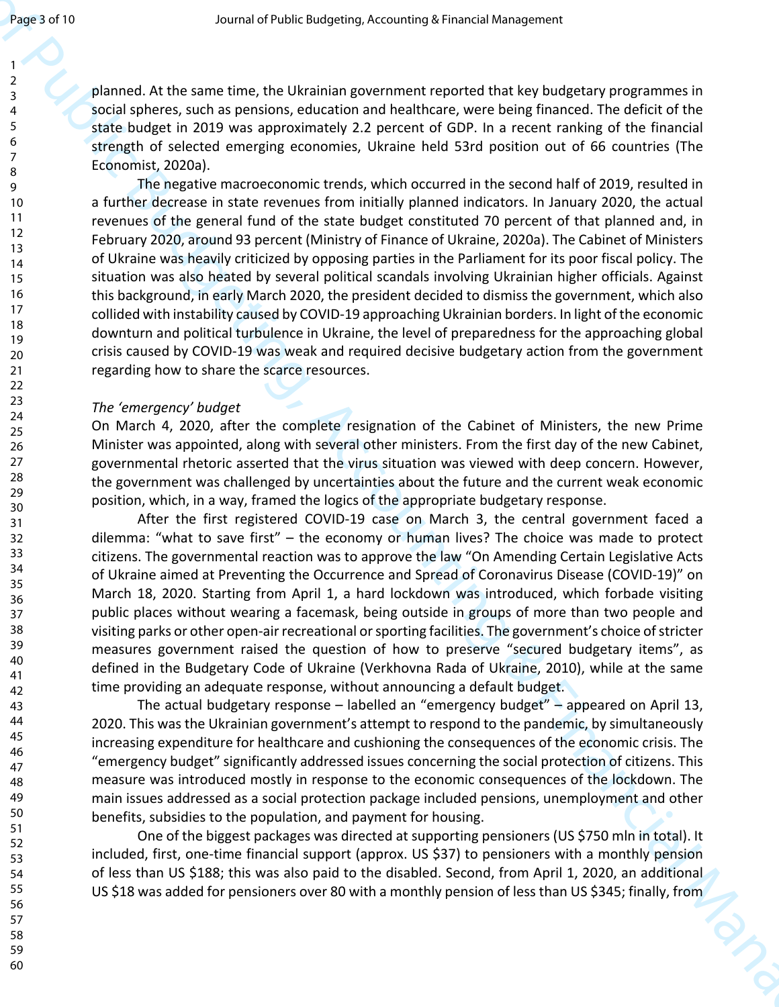planned. At the same time, the Ukrainian government reported that key budgetary programmes in social spheres, such as pensions, education and healthcare, were being financed. The deficit of the state budget in 2019 was approximately 2.2 percent of GDP. In a recent ranking of the financial strength of selected emerging economies, Ukraine held 53rd position out of 66 countries (The Economist, 2020a).

Journal of Public Business (Accounting technique is the same that is a polynomial of the same then, the Usine Business (Accounting the Hinding System and the same the Accounting System and Financial University of the Cont The negative macroeconomic trends, which occurred in the second half of 2019, resulted in a further decrease in state revenues from initially planned indicators. In January 2020, the actual revenues of the general fund of the state budget constituted 70 percent of that planned and, in February 2020, around 93 percent (Ministry of Finance of Ukraine, 2020a). The Cabinet of Ministers of Ukraine was heavily criticized by opposing parties in the Parliament for its poor fiscal policy. The situation was also heated by several political scandals involving Ukrainian higher officials. Against this background, in early March 2020, the president decided to dismiss the government, which also collided with instability caused by COVID-19 approaching Ukrainian borders. In light of the economic downturn and political turbulence in Ukraine, the level of preparedness for the approaching global crisis caused by COVID-19 was weak and required decisive budgetary action from the government regarding how to share the scarce resources.

### *The 'emergency' budget*

On March 4, 2020, after the complete resignation of the Cabinet of Ministers, the new Prime Minister was appointed, along with several other ministers. From the first day of the new Cabinet, governmental rhetoric asserted that the virus situation was viewed with deep concern. However, the government was challenged by uncertainties about the future and the current weak economic position, which, in a way, framed the logics of the appropriate budgetary response.

After the first registered COVID-19 case on March 3, the central government faced a dilemma: "what to save first" – the economy or human lives? The choice was made to protect citizens. The governmental reaction was to approve the law "On Amending Certain Legislative Acts of Ukraine aimed at Preventing the Occurrence and Spread of Coronavirus Disease (COVID-19)" on March 18, 2020. Starting from April 1, a hard lockdown was introduced, which forbade visiting public places without wearing a facemask, being outside in groups of more than two people and visiting parks or other open-air recreational or sporting facilities. The government's choice of stricter measures government raised the question of how to preserve "secured budgetary items", as defined in the Budgetary Code of Ukraine (Verkhovna Rada of Ukraine, 2010), while at the same time providing an adequate response, without announcing a default budget.

The actual budgetary response – labelled an "emergency budget" – appeared on April 13, 2020. This was the Ukrainian government's attempt to respond to the pandemic, by simultaneously increasing expenditure for healthcare and cushioning the consequences of the economic crisis. The "emergency budget" significantly addressed issues concerning the social protection of citizens. This measure was introduced mostly in response to the economic consequences of the lockdown. The main issues addressed as a social protection package included pensions, unemployment and other benefits, subsidies to the population, and payment for housing.

One of the biggest packages was directed at supporting pensioners (US \$750 mln in total). It included, first, one-time financial support (approx. US \$37) to pensioners with a monthly pension of less than US \$188; this was also paid to the disabled. Second, from April 1, 2020, an additional US \$18 was added for pensioners over 80 with a monthly pension of less than US \$345; finally, from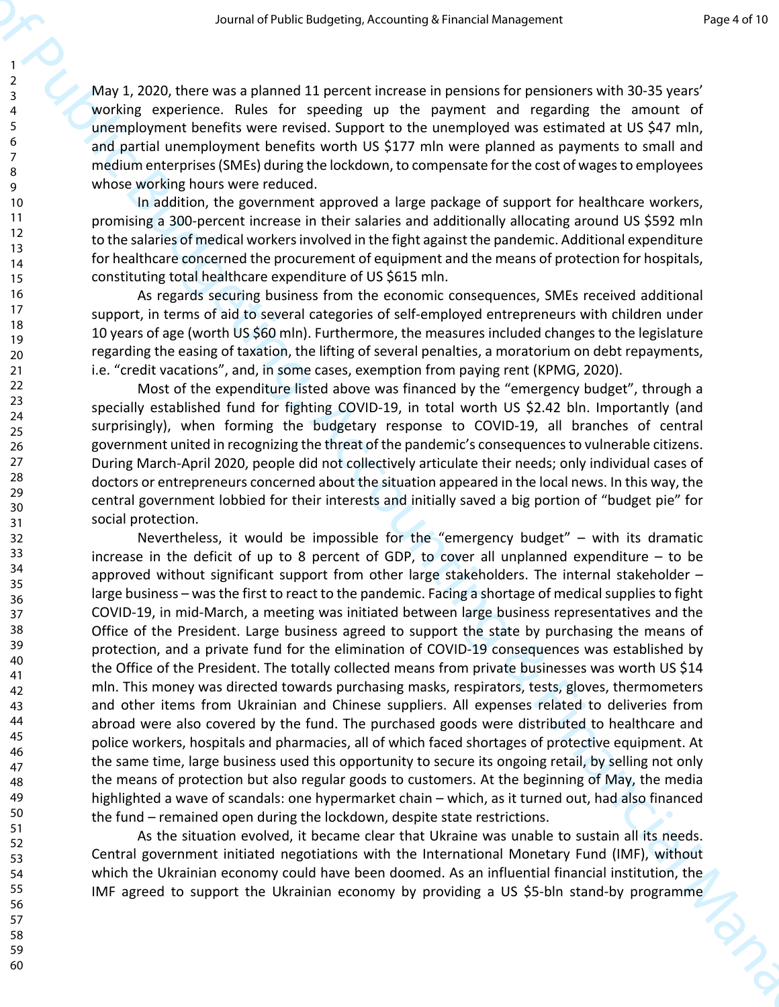May 1, 2020, there was a planned 11 percent increase in pensions for pensioners with 30-35 years' working experience. Rules for speeding up the payment and regarding the amount of unemployment benefits were revised. Support to the unemployed was estimated at US \$47 mln, and partial unemployment benefits worth US \$177 mln were planned as payments to small and medium enterprises (SMEs) during the lockdown, to compensate for the cost of wages to employees whose working hours were reduced.

In addition, the government approved a large package of support for healthcare workers, promising a 300-percent increase in their salaries and additionally allocating around US \$592 mln to the salaries of medical workers involved in the fight against the pandemic. Additional expenditure for healthcare concerned the procurement of equipment and the means of protection for hospitals, constituting total healthcare expenditure of US \$615 mln.

As regards securing business from the economic consequences, SMEs received additional support, in terms of aid to several categories of self-employed entrepreneurs with children under 10 years of age (worth US \$60 mln). Furthermore, the measures included changes to the legislature regarding the easing of taxation, the lifting of several penalties, a moratorium on debt repayments, i.e. "credit vacations", and, in some cases, exemption from paying rent (KPMG, 2020).

Most of the expenditure listed above was financed by the "emergency budget", through a specially established fund for fighting COVID-19, in total worth US \$2.42 bln. Importantly (and surprisingly), when forming the budgetary response to COVID-19, all branches of central government united in recognizing the threat of the pandemic's consequences to vulnerable citizens. During March-April 2020, people did not collectively articulate their needs; only individual cases of doctors or entrepreneurs concerned about the situation appeared in the local news. In this way, the central government lobbied for their interests and initially saved a big portion of "budget pie" for social protection.

Seamal of Public Business (measures a free positive for Public Business (measures a free positive for Public Business (measures and the public Business (measures)  $\frac{1}{2}$  with the public Business (measures) and the meas Nevertheless, it would be impossible for the "emergency budget" – with its dramatic increase in the deficit of up to 8 percent of GDP, to cover all unplanned expenditure – to be approved without significant support from other large stakeholders. The internal stakeholder – large business – was the first to react to the pandemic. Facing a shortage of medical supplies to fight COVID-19, in mid-March, a meeting was initiated between large business representatives and the Office of the President. Large business agreed to support the state by purchasing the means of protection, and a private fund for the elimination of COVID-19 consequences was established by the Office of the President. The totally collected means from private businesses was worth US \$14 mln. This money was directed towards purchasing masks, respirators, tests, gloves, thermometers and other items from Ukrainian and Chinese suppliers. All expenses related to deliveries from abroad were also covered by the fund. The purchased goods were distributed to healthcare and police workers, hospitals and pharmacies, all of which faced shortages of protective equipment. At the same time, large business used this opportunity to secure its ongoing retail, by selling not only the means of protection but also regular goods to customers. At the beginning of May, the media highlighted a wave of scandals: one hypermarket chain – which, as it turned out, had also financed the fund – remained open during the lockdown, despite state restrictions.

As the situation evolved, it became clear that Ukraine was unable to sustain all its needs. Central government initiated negotiations with the International Monetary Fund (IMF), without which the Ukrainian economy could have been doomed. As an influential financial institution, the IMF agreed to support the Ukrainian economy by providing a US \$5-bln stand-by programme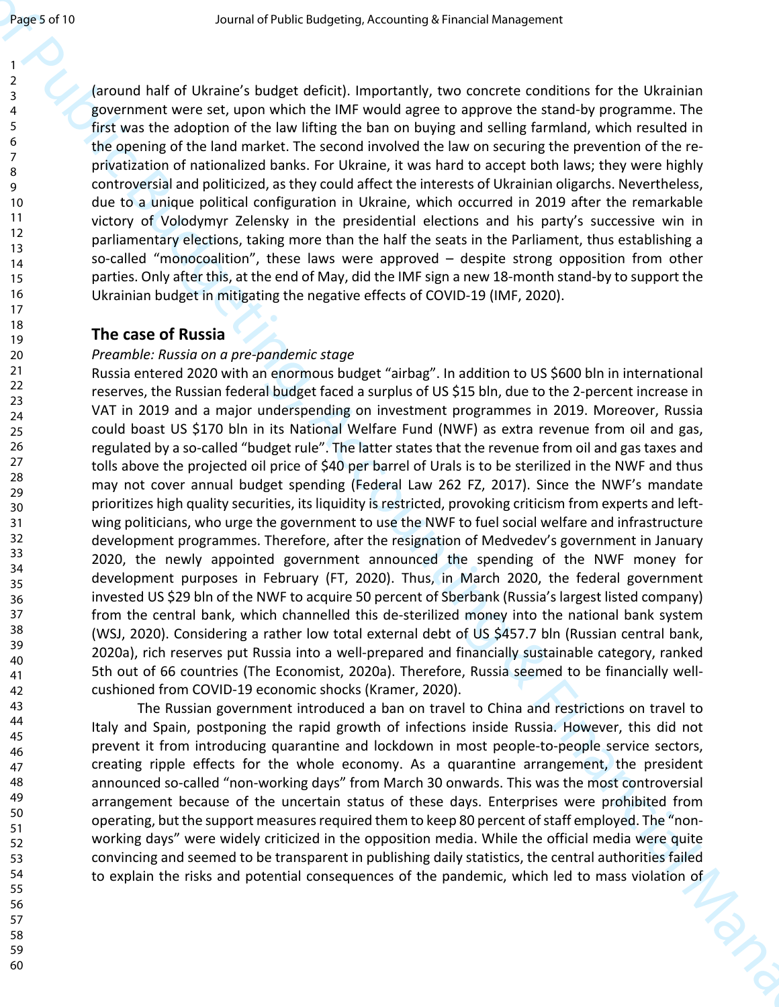(around half of Ukraine's budget deficit). Importantly, two concrete conditions for the Ukrainian government were set, upon which the IMF would agree to approve the stand-by programme. The first was the adoption of the law lifting the ban on buying and selling farmland, which resulted in the opening of the land market. The second involved the law on securing the prevention of the reprivatization of nationalized banks. For Ukraine, it was hard to accept both laws; they were highly controversial and politicized, as they could affect the interests of Ukrainian oligarchs. Nevertheless, due to a unique political configuration in Ukraine, which occurred in 2019 after the remarkable victory of Volodymyr Zelensky in the presidential elections and his party's successive win in parliamentary elections, taking more than the half the seats in the Parliament, thus establishing a so-called "monocoalition", these laws were approved – despite strong opposition from other parties. Only after this, at the end of May, did the IMF sign a new 18-month stand-by to support the Ukrainian budget in mitigating the negative effects of COVID-19 (IMF, 2020).

# **The case of Russia**

## *Preamble: Russia on a pre-pandemic stage*

Journal of Public Budgeting, Accounting to the properties of the public Budgeting of the public Budgeting of Public Budgeting Control of the public Budgeting Control of the public Budgeting Schemes in the small Specific B Russia entered 2020 with an enormous budget "airbag". In addition to US \$600 bln in international reserves, the Russian federal budget faced a surplus of US \$15 bln, due to the 2-percent increase in VAT in 2019 and a major underspending on investment programmes in 2019. Moreover, Russia could boast US \$170 bln in its National Welfare Fund (NWF) as extra revenue from oil and gas, regulated by a so-called "budget rule". The latter states that the revenue from oil and gas taxes and tolls above the projected oil price of \$40 per barrel of Urals is to be sterilized in the NWF and thus may not cover annual budget spending (Federal Law 262 FZ, 2017). Since the NWF's mandate prioritizes high quality securities, its liquidity is restricted, provoking criticism from experts and leftwing politicians, who urge the government to use the NWF to fuel social welfare and infrastructure development programmes. Therefore, after the resignation of Medvedev's government in January 2020, the newly appointed government announced the spending of the NWF money for development purposes in February (FT, 2020). Thus, in March 2020, the federal government invested US \$29 bln of the NWF to acquire 50 percent of Sberbank (Russia's largest listed company) from the central bank, which channelled this de-sterilized money into the national bank system (WSJ, 2020). Considering a rather low total external debt of US \$457.7 bln (Russian central bank, 2020a), rich reserves put Russia into a well-prepared and financially sustainable category, ranked 5th out of 66 countries (The Economist, 2020a). Therefore, Russia seemed to be financially wellcushioned from COVID-19 economic shocks (Kramer, 2020).

The Russian government introduced a ban on travel to China and restrictions on travel to Italy and Spain, postponing the rapid growth of infections inside Russia. However, this did not prevent it from introducing quarantine and lockdown in most people-to-people service sectors, creating ripple effects for the whole economy. As a quarantine arrangement, the president announced so-called "non-working days" from March 30 onwards. This was the most controversial arrangement because of the uncertain status of these days. Enterprises were prohibited from operating, but the support measures required them to keep 80 percent of staff employed. The "nonworking days" were widely criticized in the opposition media. While the official media were quite convincing and seemed to be transparent in publishing daily statistics, the central authorities failed to explain the risks and potential consequences of the pandemic, which led to mass violation of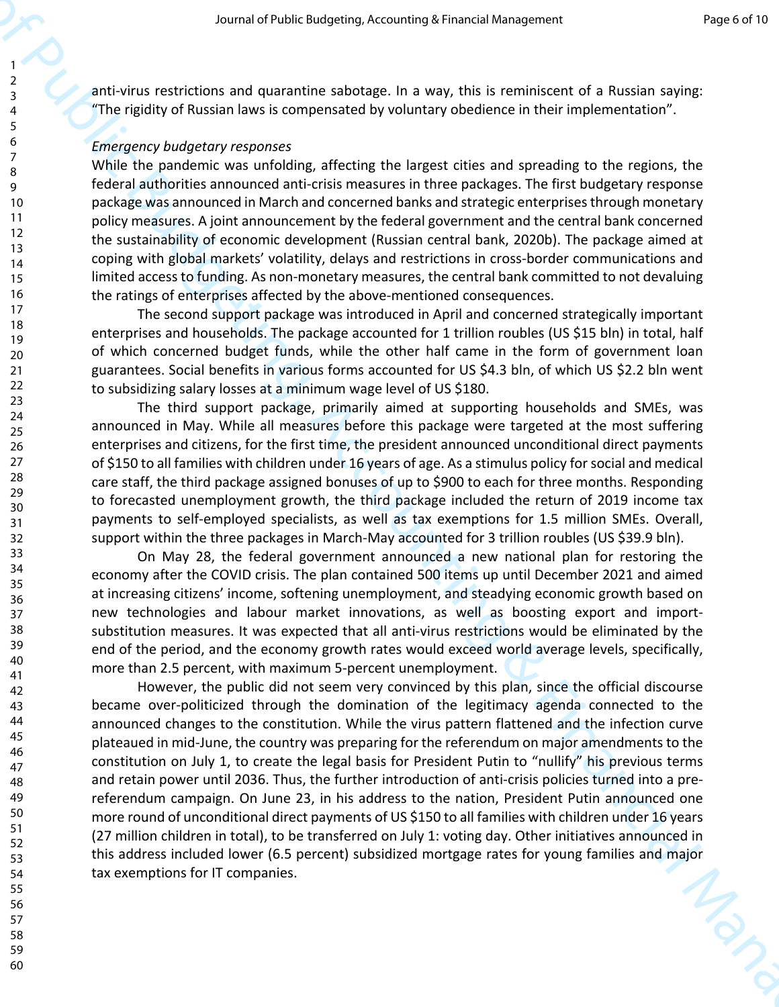anti-virus restrictions and quarantine sabotage. In a way, this is reminiscent of a Russian saying: "The rigidity of Russian laws is compensated by voluntary obedience in their implementation".

### *Emergency budgetary responses*

While the pandemic was unfolding, affecting the largest cities and spreading to the regions, the federal authorities announced anti-crisis measures in three packages. The first budgetary response package was announced in March and concerned banks and strategic enterprises through monetary policy measures. A joint announcement by the federal government and the central bank concerned the sustainability of economic development (Russian central bank, 2020b). The package aimed at coping with global markets' volatility, delays and restrictions in cross-border communications and limited access to funding. As non-monetary measures, the central bank committed to not devaluing the ratings of enterprises affected by the above-mentioned consequences.

The second support package was introduced in April and concerned strategically important enterprises and households. The package accounted for 1 trillion roubles (US \$15 bln) in total, half of which concerned budget funds, while the other half came in the form of government loan guarantees. Social benefits in various forms accounted for US \$4.3 bln, of which US \$2.2 bln went to subsidizing salary losses at a minimum wage level of US \$180.

The third support package, primarily aimed at supporting households and SMEs, was announced in May. While all measures before this package were targeted at the most suffering enterprises and citizens, for the first time, the president announced unconditional direct payments of \$150 to all families with children under 16 years of age. As a stimulus policy for social and medical care staff, the third package assigned bonuses of up to \$900 to each for three months. Responding to forecasted unemployment growth, the third package included the return of 2019 income tax payments to self-employed specialists, as well as tax exemptions for 1.5 million SMEs. Overall, support within the three packages in March-May accounted for 3 trillion roubles (US \$39.9 bln).

On May 28, the federal government announced a new national plan for restoring the economy after the COVID crisis. The plan contained 500 items up until December 2021 and aimed at increasing citizens' income, softening unemployment, and steadying economic growth based on new technologies and labour market innovations, as well as boosting export and importsubstitution measures. It was expected that all anti-virus restrictions would be eliminated by the end of the period, and the economy growth rates would exceed world average levels, specifically, more than 2.5 percent, with maximum 5-percent unemployment.

Search of Public Business (1997) and the search of the search of the search of the search of the search of the search of the search of the search of the search of the search of the search of the search of the search of the However, the public did not seem very convinced by this plan, since the official discourse became over-politicized through the domination of the legitimacy agenda connected to the announced changes to the constitution. While the virus pattern flattened and the infection curve plateaued in mid-June, the country was preparing for the referendum on major amendments to the constitution on July 1, to create the legal basis for President Putin to "nullify" his previous terms and retain power until 2036. Thus, the further introduction of anti-crisis policies turned into a prereferendum campaign. On June 23, in his address to the nation, President Putin announced one more round of unconditional direct payments of US \$150 to all families with children under 16 years (27 million children in total), to be transferred on July 1: voting day. Other initiatives announced in this address included lower (6.5 percent) subsidized mortgage rates for young families and major<br>tax exemptions for IT companies. tax exemptions for IT companies.

60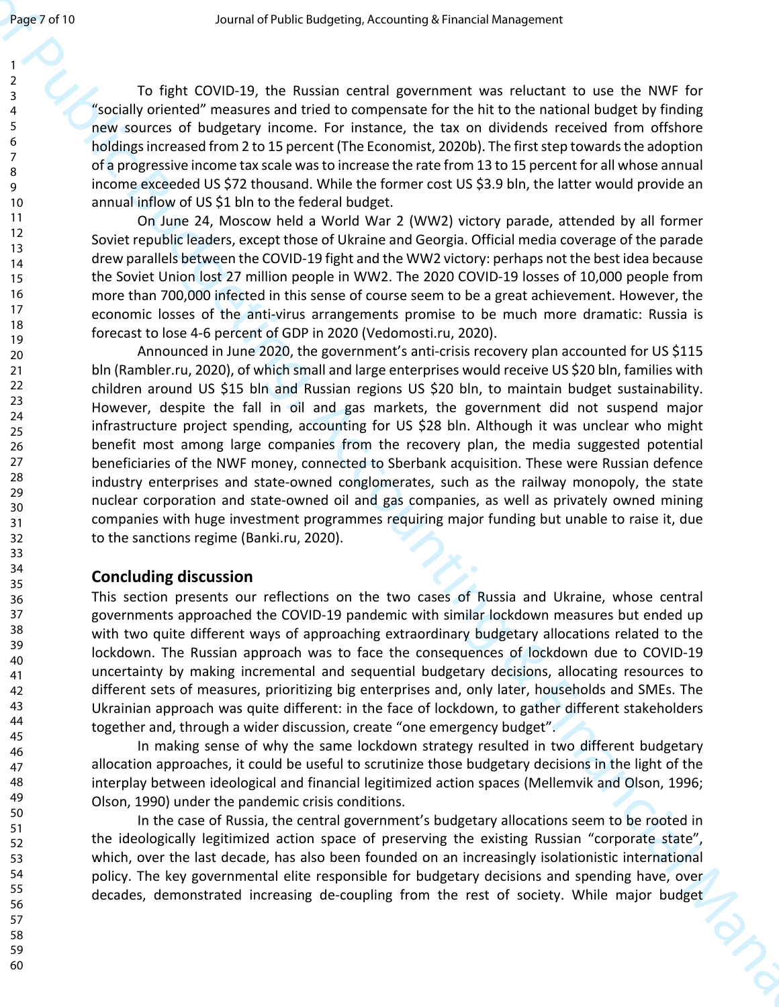To fight COVID-19, the Russian central government was reluctant to use the NWF for "socially oriented" measures and tried to compensate for the hit to the national budget by finding new sources of budgetary income. For instance, the tax on dividends received from offshore holdings increased from 2 to 15 percent (The Economist, 2020b). The first step towards the adoption of a progressive income tax scale was to increase the rate from 13 to 15 percent for all whose annual income exceeded US \$72 thousand. While the former cost US \$3.9 bln, the latter would provide an annual inflow of US \$1 bln to the federal budget.

On June 24, Moscow held a World War 2 (WW2) victory parade, attended by all former Soviet republic leaders, except those of Ukraine and Georgia. Official media coverage of the parade drew parallels between the COVID-19 fight and the WW2 victory: perhaps not the best idea because the Soviet Union lost 27 million people in WW2. The 2020 COVID-19 losses of 10,000 people from more than 700,000 infected in this sense of course seem to be a great achievement. However, the economic losses of the anti-virus arrangements promise to be much more dramatic: Russia is forecast to lose 4-6 percent of GDP in 2020 (Vedomosti.ru, 2020).

Journal of Male Toward (Male Toward Theorem is a second of the Bureau of the Bureau of the Bureau of The Bureau of The Bureau of The Bureau of the Bureau of the Bureau of the Bureau of The Bureau of The Bureau of The Bure Announced in June 2020, the government's anti-crisis recovery plan accounted for US \$115 bln (Rambler.ru, 2020), of which small and large enterprises would receive US \$20 bln, families with children around US \$15 bln and Russian regions US \$20 bln, to maintain budget sustainability. However, despite the fall in oil and gas markets, the government did not suspend major infrastructure project spending, accounting for US \$28 bln. Although it was unclear who might benefit most among large companies from the recovery plan, the media suggested potential beneficiaries of the NWF money, connected to Sberbank acquisition. These were Russian defence industry enterprises and state-owned conglomerates, such as the railway monopoly, the state nuclear corporation and state-owned oil and gas companies, as well as privately owned mining companies with huge investment programmes requiring major funding but unable to raise it, due to the sanctions regime (Banki.ru, 2020).

# **Concluding discussion**

This section presents our reflections on the two cases of Russia and Ukraine, whose central governments approached the COVID-19 pandemic with similar lockdown measures but ended up with two quite different ways of approaching extraordinary budgetary allocations related to the lockdown. The Russian approach was to face the consequences of lockdown due to COVID-19 uncertainty by making incremental and sequential budgetary decisions, allocating resources to different sets of measures, prioritizing big enterprises and, only later, households and SMEs. The Ukrainian approach was quite different: in the face of lockdown, to gather different stakeholders together and, through a wider discussion, create "one emergency budget".

In making sense of why the same lockdown strategy resulted in two different budgetary allocation approaches, it could be useful to scrutinize those budgetary decisions in the light of the interplay between ideological and financial legitimized action spaces (Mellemvik and Olson, 1996; Olson, 1990) under the pandemic crisis conditions.

In the case of Russia, the central government's budgetary allocations seem to be rooted in the ideologically legitimized action space of preserving the existing Russian "corporate state", which, over the last decade, has also been founded on an increasingly isolationistic international policy. The key governmental elite responsible for budgetary decisions and spending have, over decades, demonstrated increasing de-coupling from the rest of society. While major budget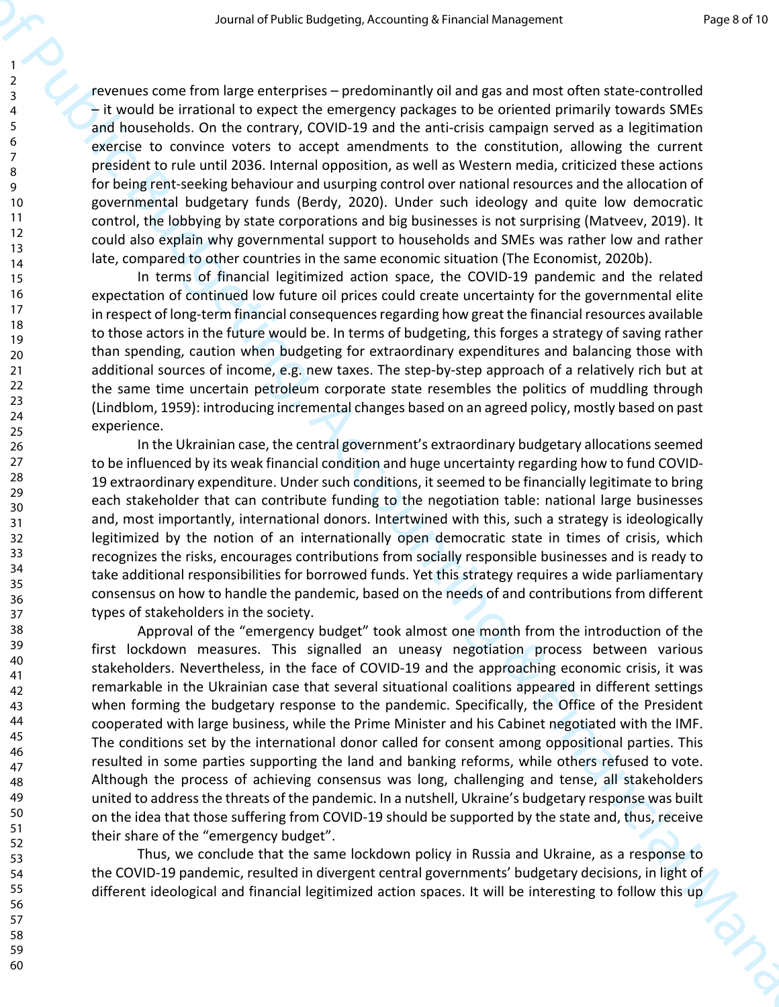revenues come from large enterprises – predominantly oil and gas and most often state-controlled – it would be irrational to expect the emergency packages to be oriented primarily towards SMEs and households. On the contrary, COVID-19 and the anti-crisis campaign served as a legitimation exercise to convince voters to accept amendments to the constitution, allowing the current president to rule until 2036. Internal opposition, as well as Western media, criticized these actions for being rent-seeking behaviour and usurping control over national resources and the allocation of governmental budgetary funds (Berdy, 2020). Under such ideology and quite low democratic control, the lobbying by state corporations and big businesses is not surprising (Matveev, 2019). It could also explain why governmental support to households and SMEs was rather low and rather late, compared to other countries in the same economic situation (The Economist, 2020b).

In terms of financial legitimized action space, the COVID-19 pandemic and the related expectation of continued low future oil prices could create uncertainty for the governmental elite in respect of long-term financial consequences regarding how great the financial resources available to those actors in the future would be. In terms of budgeting, this forges a strategy of saving rather than spending, caution when budgeting for extraordinary expenditures and balancing those with additional sources of income, e.g. new taxes. The step-by-step approach of a relatively rich but at the same time uncertain petroleum corporate state resembles the politics of muddling through (Lindblom, 1959): introducing incremental changes based on an agreed policy, mostly based on past experience.

In the Ukrainian case, the central government's extraordinary budgetary allocations seemed to be influenced by its weak financial condition and huge uncertainty regarding how to fund COVID-19 extraordinary expenditure. Under such conditions, it seemed to be financially legitimate to bring each stakeholder that can contribute funding to the negotiation table: national large businesses and, most importantly, international donors. Intertwined with this, such a strategy is ideologically legitimized by the notion of an internationally open democratic state in times of crisis, which recognizes the risks, encourages contributions from socially responsible businesses and is ready to take additional responsibilities for borrowed funds. Yet this strategy requires a wide parliamentary consensus on how to handle the pandemic, based on the needs of and contributions from different types of stakeholders in the society.

Source of the third is ensured when the state of the state of the state of the state of the state of the state of the state of the state of the state of the state of the state of the state of the state of the state of the Approval of the "emergency budget" took almost one month from the introduction of the first lockdown measures. This signalled an uneasy negotiation process between various stakeholders. Nevertheless, in the face of COVID-19 and the approaching economic crisis, it was remarkable in the Ukrainian case that several situational coalitions appeared in different settings when forming the budgetary response to the pandemic. Specifically, the Office of the President cooperated with large business, while the Prime Minister and his Cabinet negotiated with the IMF. The conditions set by the international donor called for consent among oppositional parties. This resulted in some parties supporting the land and banking reforms, while others refused to vote. Although the process of achieving consensus was long, challenging and tense, all stakeholders united to address the threats of the pandemic. In a nutshell, Ukraine's budgetary response was built on the idea that those suffering from COVID-19 should be supported by the state and, thus, receive their share of the "emergency budget".

Thus, we conclude that the same lockdown policy in Russia and Ukraine, as a response to the COVID-19 pandemic, resulted in divergent central governments' budgetary decisions, in light of different ideological and financial legitimized action spaces. It will be interesting to follow this up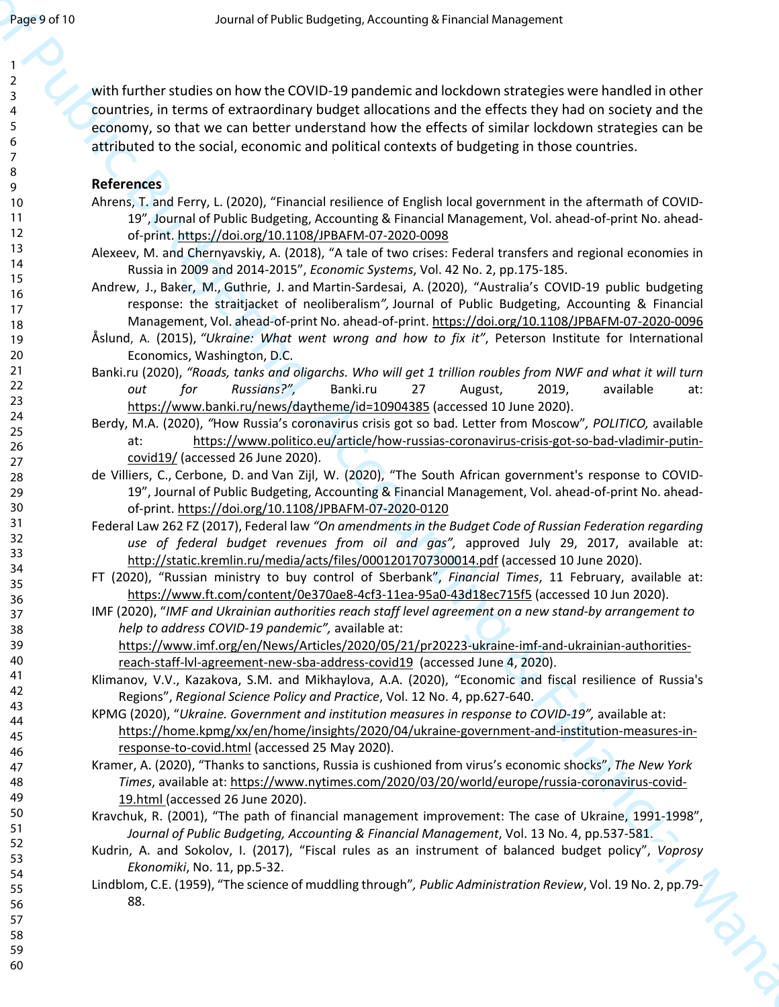Journal of Public Mostern Assumed Prior Results of Public Mostern and the Control of Public B[ud](https://doi.org/10.1108/JPBAFM-07-2020-0098)geting, and the Control of Publi[c](https://www.politico.eu/article/how-russias-coronavirus-crisis-got-so-bad-vladimir-putin-covid19/) Budgeting, and the Co[nt](http://static.kremlin.ru/media/acts/files/0001201707300014.pdf)rol of Public Budget[in](https://home.kpmg/xx/en/home/insights/2020/04/ukraine-government-and-institution-measures-in-response-to-covid.html)g, [an](https://www.nytimes.com/2020/03/20/world/europe/russia-coronavirus-covid-19.html)d the Control of Public Mostern and the Ch with further studies on how the COVID-19 pandemic and lockdown strategies were handled in other countries, in terms of extraordinary budget allocations and the effects they had on society and the economy, so that we can better understand how the effects of similar lockdown strategies can be attributed to the social, economic and political contexts of budgeting in those countries.

## **References**

- Ahrens, T. and Ferry, L. (2020), "Financial resilience of English local government in the aftermath of COVID-19", Journal of Public Budgeting, Accounting & Financial Management, Vol. ahead-of-print No. aheadof-print. https://doi.org/10.1108/JPBAFM-07-2020-0098
- Alexeev, M. and Chernyavskiy, A. (2018), "A tale of two crises: Federal transfers and regional economies in Russia in 2009 and 2014-2015", *Economic Systems*, Vol. 42 No. 2, pp.175-185.
- Andrew, J., Baker, M., Guthrie, J. and Martin-Sardesai, A. (2020), "Australia's COVID-19 public budgeting response: the straitjacket of neoliberalism*",* Journal of Public Budgeting, Accounting & Financial Management, Vol. ahead-of-print No. ahead-of-print. https://doi.org/10.1108/JPBAFM-07-2020-0096
- Åslund, A. (2015), *"Ukraine: What went wrong and how to fix it"*, Peterson Institute for International Economics, Washington, D.C.
- Banki.ru (2020), *"Roads, tanks and oligarchs. Who will get 1 trillion roubles from NWF and what it will turn out for Russians?",* Banki.ru 27 August, 2019, available at: https://www.banki.ru/news/daytheme/id=10904385 (accessed 10 June 2020).
- Berdy, M.A. (2020), *"*How Russia's coronavirus crisis got so bad. Letter from Moscow"*, POLITICO,* available at: https://www.politico.eu/article/how-russias-coronavirus-crisis-got-so-bad-vladimir-putincovid19/ (accessed 26 June 2020).
- de Villiers, C., Cerbone, D. and Van Zijl, W. (2020), "The South African government's response to COVID-19", Journal of Public Budgeting, Accounting & Financial Management, Vol. ahead-of-print No. aheadof-print. https://doi.org/10.1108/JPBAFM-07-2020-0120
- Federal Law 262 FZ (2017), Federal law *"On amendments in the Budget Code of Russian Federation regarding use of federal budget revenues from oil and gas",* approved July 29, 2017, available at: http://static.kremlin.ru/media/acts/files/0001201707300014.pdf (accessed 10 June 2020).
- FT (2020), "Russian ministry to buy control of Sberbank", *Financial Times*, 11 February, available at: https://www.ft.com/content/0e370ae8-4cf3-11ea-95a0-43d18ec715f5 (accessed 10 Jun 2020).
- IMF (2020), "*IMF and Ukrainian authorities reach staff level agreement on a new stand-by arrangement to help to address COVID-19 pandemic",* available at:

https://www.imf.org/en/News/Articles/2020/05/21/pr20223-ukraine-imf-and-ukrainian-authoritiesreach-staff-lvl-agreement-new-sba-address-covid19 (accessed June 4, 2020).

- Klimanov, V.V., Kazakova, S.M. and Mikhaylova, A.A. (2020), "Economic and fiscal resilience of Russia's Regions", *Regional Science Policy and Practice*, Vol. 12 No. 4, pp.627-640.
- KPMG (2020), "*Ukraine. Government and institution measures in response to COVID-19",* available at: https://home.kpmg/xx/en/home/insights/2020/04/ukraine-government-and-institution-measures-inresponse-to-covid.html (accessed 25 May 2020).
- Kramer, A. (2020), "Thanks to sanctions, Russia is cushioned from virus's economic shocks", *The New York Times*, available at: https://www.nytimes.com/2020/03/20/world/europe/russia-coronavirus-covid-19.html (accessed 26 June 2020).
- Kravchuk, R. (2001), "The path of financial management improvement: The case of Ukraine, 1991-1998", *Journal of Public Budgeting, Accounting & Financial Management*, Vol. 13 No. 4, pp.537-581.
- Kudrin, A. and Sokolov, I. (2017), "Fiscal rules as an instrument of balanced budget policy", *Voprosy Ekonomiki*, No. 11, pp.5-32.
- Lindblom, C.E. (1959), "The science of muddling through"*, Public Administration Review*, Vol. 19 No. 2, pp.79- 88.